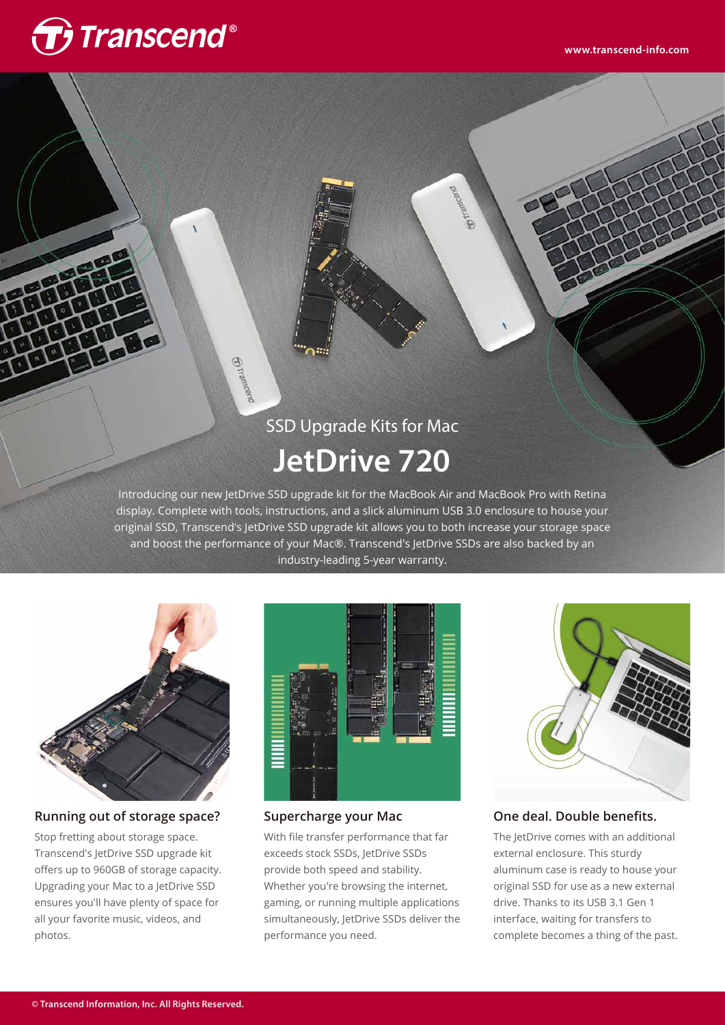# **T** Transcend®

## SSD Upgrade Kits for Mac **JetDrive 720**

**Ortramscend** 

Introducing our new JetDrive SSD upgrade kit for the MacBook Air and MacBook Pro with Retina display. Complete with tools, instructions, and a slick aluminum USB 3.0 enclosure to house your original SSD, Transcend's JetDrive SSD upgrade kit allows you to both increase your storage space and boost the performance of your Mac®. Transcend's JetDrive SSDs are also backed by an industry-leading 5-year warranty.



#### **Running out of storage space?**

Stop fretting about storage space. Transcend's JetDrive SSD upgrade kit offers up to 960GB of storage capacity. Upgrading your Mac to a JetDrive SSD ensures you'll have plenty of space for all your favorite music, videos, and photos.



#### **Supercharge your Mac**

With file transfer performance that far exceeds stock SSDs, JetDrive SSDs provide both speed and stability. Whether you're browsing the internet, gaming, or running multiple applications simultaneously, JetDrive SSDs deliver the performance you need.



#### **One deal. Double benefits.**

The JetDrive comes with an additional external enclosure. This sturdy aluminum case is ready to house your original SSD for use as a new external drive. Thanks to its USB 3.1 Gen 1 interface, waiting for transfers to complete becomes a thing of the past.